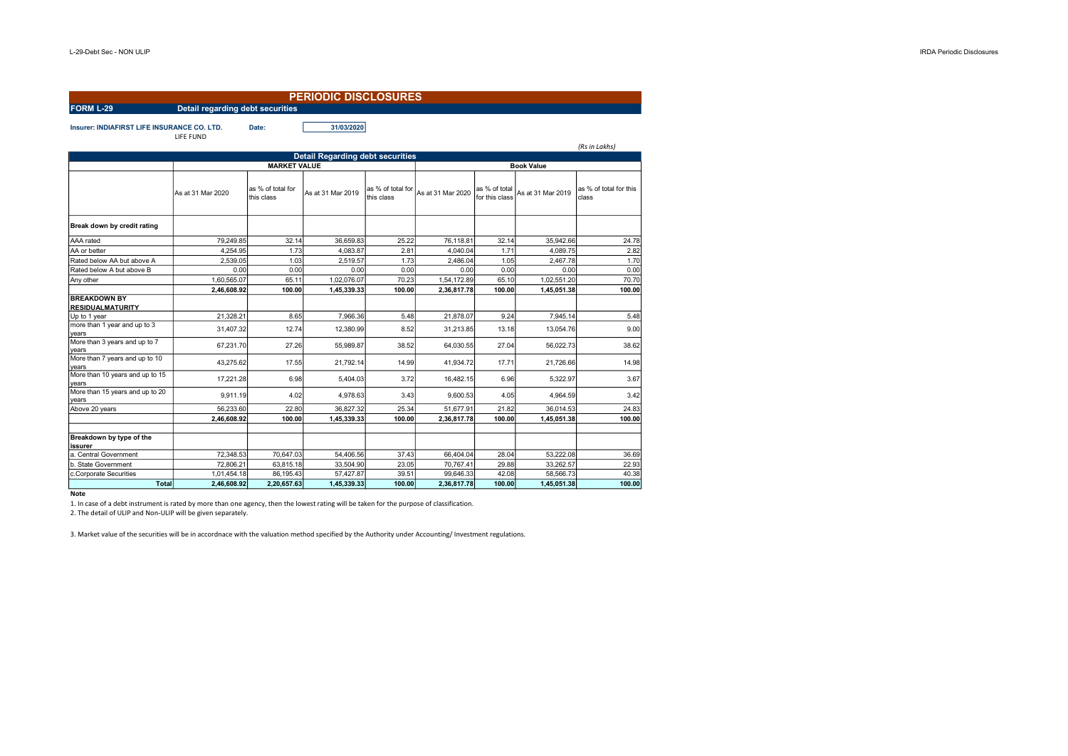| <b>PERIODIC DISCLOSURES</b>                                              |                                  |                                 |                                         |                                 |                   |                                 |                   |                                 |  |  |
|--------------------------------------------------------------------------|----------------------------------|---------------------------------|-----------------------------------------|---------------------------------|-------------------|---------------------------------|-------------------|---------------------------------|--|--|
| <b>FORM L-29</b>                                                         | Detail regarding debt securities |                                 |                                         |                                 |                   |                                 |                   |                                 |  |  |
| <b>Insurer: INDIAFIRST LIFE INSURANCE CO. LTD.</b><br>Date:<br>LIFE FUND |                                  |                                 | 31/03/2020                              |                                 |                   |                                 |                   | (Rs in Lakhs)                   |  |  |
|                                                                          |                                  |                                 | <b>Detail Regarding debt securities</b> |                                 |                   |                                 |                   |                                 |  |  |
|                                                                          |                                  | <b>MARKET VALUE</b>             |                                         |                                 | <b>Book Value</b> |                                 |                   |                                 |  |  |
|                                                                          | As at 31 Mar 2020                | as % of total for<br>this class | As at 31 Mar 2019                       | as % of total for<br>this class | As at 31 Mar 2020 | as % of total<br>for this class | As at 31 Mar 2019 | as % of total for this<br>class |  |  |
| Break down by credit rating                                              |                                  |                                 |                                         |                                 |                   |                                 |                   |                                 |  |  |
| AAA rated                                                                | 79,249.85                        | 32.14                           | 36,659.83                               | 25.22                           | 76,118.81         | 32.14                           | 35,942.66         | 24.78                           |  |  |
| AA or better                                                             | 4,254.95                         | 1.73                            | 4,083.87                                | 2.81                            | 4,040.04          | 1.71                            | 4,089.75          | 2.82                            |  |  |
| Rated below AA but above A                                               | 2.539.05                         | 1.03                            | 2,519.57                                | 1.73                            | 2.486.04          | 1.05                            | 2.467.78          | 1.70                            |  |  |
| Rated below A but above B                                                | 0.00                             | 0.00                            | 0.00                                    | 0.00                            | 0.00              | 0.00                            | 0.00              | 0.00                            |  |  |
| Any other                                                                | 1,60,565.07                      | 65.11                           | 1,02,076.07                             | 70.23                           | 1,54,172.89       | 65.10                           | 1,02,551.20       | 70.70                           |  |  |
|                                                                          | 2,46,608.92                      | 100.00                          | 1,45,339.33                             | 100.00                          | 2,36,817.78       | 100.00                          | 1,45,051.38       | 100.00                          |  |  |
| <b>BREAKDOWN BY</b><br><b>RESIDUALMATURITY</b>                           |                                  |                                 |                                         |                                 |                   |                                 |                   |                                 |  |  |
| Up to 1 year                                                             | 21,328.21                        | 8.65                            | 7,966.36                                | 5.48                            | 21,878.07         | 9.24                            | 7,945.14          | 5.48                            |  |  |
| more than 1 year and up to 3<br>vears                                    | 31,407.32                        | 12.74                           | 12,380.99                               | 8.52                            | 31,213.85         | 13.18                           | 13,054.76         | 9.00                            |  |  |
| More than 3 years and up to 7<br>years                                   | 67,231.70                        | 27.26                           | 55,989.87                               | 38.52                           | 64,030.55         | 27.04                           | 56,022.73         | 38.62                           |  |  |
| More than 7 years and up to 10<br>years                                  | 43,275.62                        | 17.55                           | 21,792.14                               | 14.99                           | 41,934.72         | 17.71                           | 21,726.66         | 14.98                           |  |  |
| More than 10 years and up to 15<br>years                                 | 17,221.28                        | 6.98                            | 5.404.03                                | 3.72                            | 16,482.15         | 6.96                            | 5,322.97          | 3.67                            |  |  |
| More than 15 years and up to 20<br>years                                 | 9,911.19                         | 4.02                            | 4,978.63                                | 3.43                            | 9,600.53          | 4.05                            | 4,964.59          | 3.42                            |  |  |
| Above 20 years                                                           | 56.233.60                        | 22.80                           | 36,827.32                               | 25.34                           | 51,677.91         | 21.82                           | 36,014.53         | 24.83                           |  |  |
|                                                                          | 2,46,608.92                      | 100.00                          | 1,45,339.33                             | 100.00                          | 2,36,817.78       | 100.00                          | 1,45,051.38       | 100.00                          |  |  |
| Breakdown by type of the<br>issurer                                      |                                  |                                 |                                         |                                 |                   |                                 |                   |                                 |  |  |
| la. Central Government                                                   | 72.348.53                        | 70.647.03                       | 54.406.56                               | 37.43                           | 66,404.04         | 28.04                           | 53.222.08         | 36.69                           |  |  |
| b. State Government                                                      | 72,806.21                        | 63,815.18                       | 33,504.90                               | 23.05                           | 70,767.41         | 29.88                           | 33,262.57         | 22.93                           |  |  |
| c.Corporate Securities                                                   | 1,01,454.18                      | 86,195.43                       | 57,427.87                               | 39.51                           | 99,646.33         | 42.08                           | 58,566.73         | 40.38                           |  |  |
| <b>Total</b>                                                             | 2,46,608.92                      | 2,20,657.63                     | 1,45,339.33                             | 100.00                          | 2,36,817.78       | 100.00                          | 1,45,051.38       | 100.00                          |  |  |

## **Note**

1. In case of a debt instrument is rated by more than one agency, then the lowest rating will be taken for the purpose of classification.

2. The detail of ULIP and Non-ULIP will be given separately.

3. Market value of the securities will be in accordnace with the valuation method specified by the Authority under Accounting/ Investment regulations.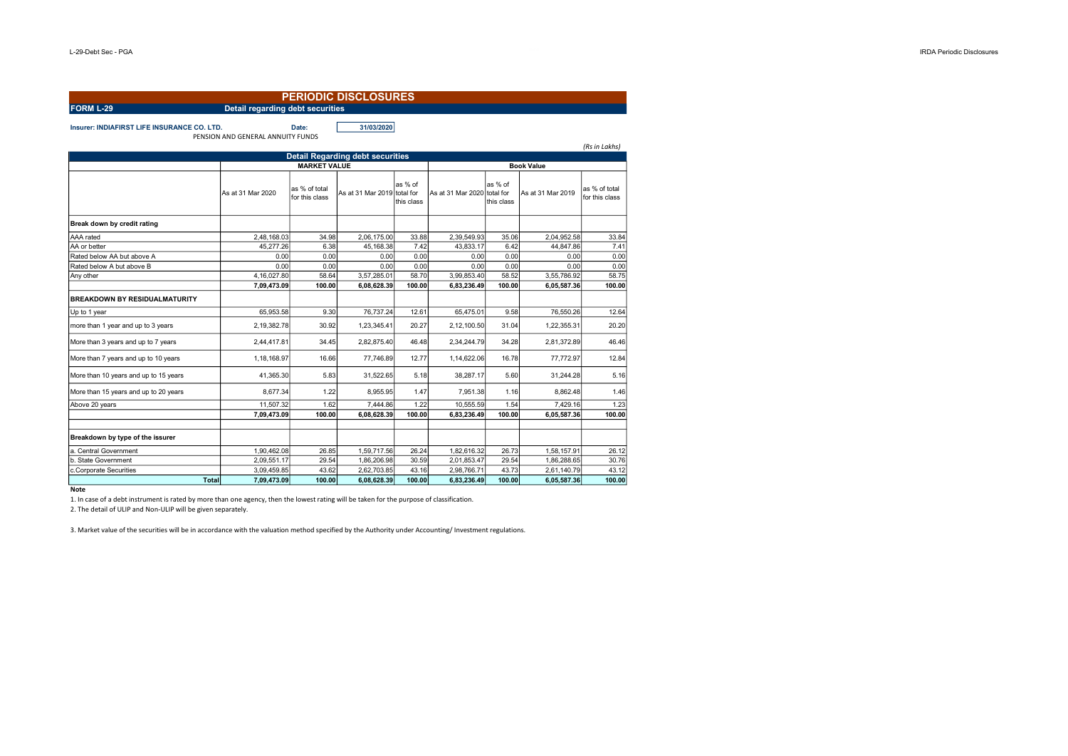| <b>PERIODIC DISCLOSURES</b>                                 |                                   |                                 |                                         |                       |                          |                                    |                          |                                 |  |  |
|-------------------------------------------------------------|-----------------------------------|---------------------------------|-----------------------------------------|-----------------------|--------------------------|------------------------------------|--------------------------|---------------------------------|--|--|
| <b>Detail regarding debt securities</b><br><b>FORM L-29</b> |                                   |                                 |                                         |                       |                          |                                    |                          |                                 |  |  |
| <b>Insurer: INDIAFIRST LIFE INSURANCE CO. LTD.</b>          | PENSION AND GENERAL ANNUITY FUNDS | Date:                           | 31/03/2020                              |                       |                          |                                    |                          | (Rs in Lakhs)                   |  |  |
|                                                             |                                   |                                 | <b>Detail Regarding debt securities</b> |                       |                          |                                    |                          |                                 |  |  |
|                                                             |                                   | <b>Book Value</b>               |                                         |                       |                          |                                    |                          |                                 |  |  |
|                                                             | As at 31 Mar 2020                 | as % of total<br>for this class | As at 31 Mar 2019 total for             | as % of<br>this class | As at 31 Mar 2020        | as % of<br>total for<br>this class | As at 31 Mar 2019        | as % of total<br>for this class |  |  |
| Break down by credit rating                                 |                                   |                                 |                                         |                       |                          |                                    |                          |                                 |  |  |
| AAA rated                                                   | 2,48,168.03                       | 34.98                           | 2,06,175.00                             | 33.88                 | 2,39,549.93              | 35.06                              | 2,04,952.58              | 33.84                           |  |  |
| AA or better                                                | 45,277.26                         | 6.38                            | 45,168.38                               | 7.42                  | 43.833.17                | 6.42                               | 44,847.86                | 7.41                            |  |  |
| Rated below AA but above A                                  | 0.00                              | 0.00                            | 0.00                                    | 0.00                  | 0.00                     | 0.00                               | 0.00                     | 0.00                            |  |  |
| Rated below A but above B                                   | 0.00                              | 0.00                            | 0.00                                    | 0.00                  | 0.00                     | 0.00                               | 0.00                     | 0.00                            |  |  |
| Any other                                                   | 4.16.027.80                       | 58.64                           | 3,57,285.01                             | 58.70                 | 3,99,853.40              | 58.52                              | 3,55,786.92              | 58.75                           |  |  |
| <b>BREAKDOWN BY RESIDUALMATURITY</b>                        | 7,09,473.09<br>65.953.58          | 100.00<br>9.30                  | 6,08,628.39<br>76,737.24                | 100.00<br>12.61       | 6,83,236.49<br>65,475.01 | 100.00<br>9.58                     | 6,05,587.36<br>76,550.26 | 100.00<br>12.64                 |  |  |
| Up to 1 year<br>more than 1 year and up to 3 years          | 2,19,382.78                       | 30.92                           | 1,23,345.41                             | 20.27                 | 2,12,100.50              | 31.04                              | 1,22,355.31              | 20.20                           |  |  |
| More than 3 years and up to 7 years                         | 2,44,417.81                       | 34.45                           | 2,82,875.40                             | 46.48                 | 2,34,244.79              | 34.28                              | 2,81,372.89              | 46.46                           |  |  |
| More than 7 years and up to 10 years                        | 1,18,168.97                       | 16.66                           | 77,746.89                               | 12.77                 | 1,14,622.06              | 16.78                              | 77,772.97                | 12.84                           |  |  |
| More than 10 years and up to 15 years                       | 41,365.30                         | 5.83                            | 31,522.65                               | 5.18                  | 38.287.17                | 5.60                               | 31.244.28                | 5.16                            |  |  |
| More than 15 years and up to 20 years                       | 8,677.34                          | 1.22                            | 8,955.95                                | 1.47                  | 7,951.38                 | 1.16                               | 8,862.48                 | 1.46                            |  |  |
| Above 20 years                                              | 11.507.32<br>7,09,473.09          | 1.62<br>100.00                  | 7.444.86<br>6,08,628.39                 | 1.22<br>100.00        | 10.555.59<br>6,83,236.49 | 1.54<br>100.00                     | 7.429.16<br>6,05,587.36  | 1.23<br>100.00                  |  |  |
| Breakdown by type of the issurer                            |                                   |                                 |                                         |                       |                          |                                    |                          |                                 |  |  |
| a. Central Government                                       | 1,90,462.08                       | 26.85                           | 1,59,717.56                             | 26.24                 | 1,82,616.32              | 26.73                              | 1,58,157.91              | 26.12                           |  |  |
| b. State Government                                         | 2.09.551.17                       | 29.54                           | 1.86.206.98                             | 30.59                 | 2.01.853.47              | 29.54                              | 1.86.288.65              | 30.76                           |  |  |
| c.Corporate Securities                                      | 3,09,459.85                       | 43.62                           | 2,62,703.85                             | 43.16                 | 2,98,766.71              | 43.73                              | 2,61,140.79              | 43.12                           |  |  |
| <b>Total</b>                                                | 7.09.473.09                       | 100.00                          | 6.08.628.39                             | 100.00                | 6.83.236.49              | 100.00                             | 6.05.587.36              | 100.00                          |  |  |

**Note** 

1. In case of a debt instrument is rated by more than one agency, then the lowest rating will be taken for the purpose of classification.

2. The detail of ULIP and Non-ULIP will be given separately.

3. Market value of the securities will be in accordance with the valuation method specified by the Authority under Accounting/ Investment regulations.